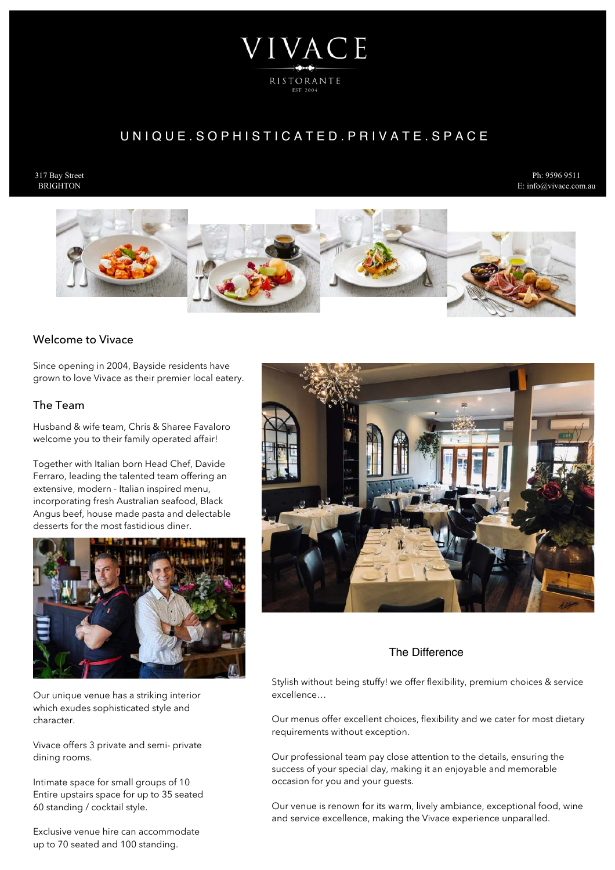# VIVACE RISTORANTE

# UNIQUE. SOPHISTICATED. PRIVATE. SPACE

### 317 Bay Street **BRIGHTON**

Ph: 9596 9511 E: info@vivace.com.au



# Welcome to Vivace

Since opening in 2004, Bayside residents have grown to love Vivace as their premier local eatery.

# The Team

Husband & wife team, Chris & Sharee Favaloro welcome you to their family operated affair!

Together with Italian born Head Chef, Davide Ferraro, leading the talented team offering an extensive, modern - Italian inspired menu, incorporating fresh Australian seafood, Black Angus beef, house made pasta and delectable desserts for the most fastidious diner.



Our unique venue has a striking interior which exudes sophisticated style and character.

Vivace offers 3 private and semi- private dining rooms.

Intimate space for small groups of 10 Entire upstairs space for up to 35 seated 60 standing / cocktail style.

Exclusive venue hire can accommodate up to 70 seated and 100 standing.



# The Difference

Stylish without being stuffy! we offer flexibility, premium choices & service excellence…

Our menus offer excellent choices, flexibility and we cater for most dietary requirements without exception.

Our professional team pay close attention to the details, ensuring the success of your special day, making it an enjoyable and memorable occasion for you and your guests.

Our venue is renown for its warm, lively ambiance, exceptional food, wine and service excellence, making the Vivace experience unparalled.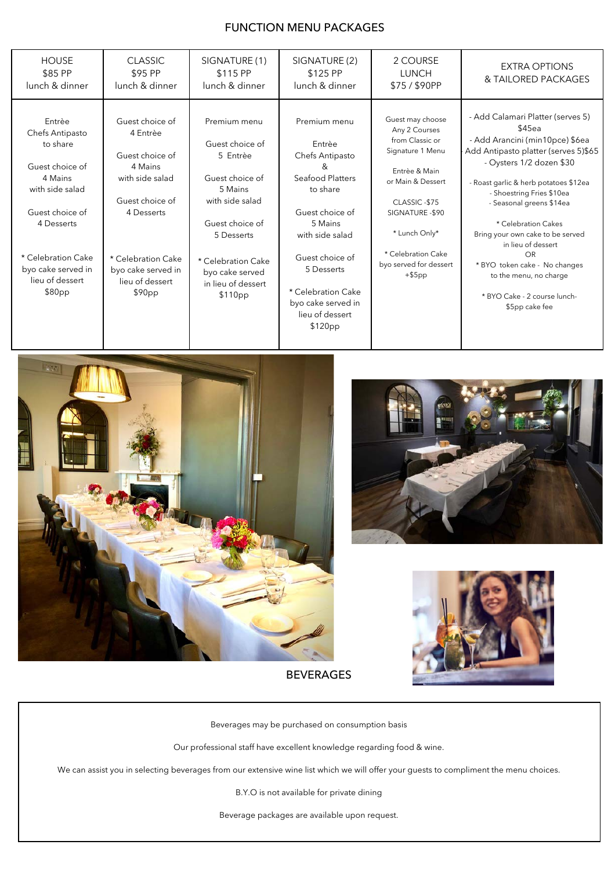# FUNCTION MENU PACKAGES

| <b>HOUSE</b><br>\$85 PP<br>lunch & dinner                                                                                                                                                        | <b>CLASSIC</b><br>\$95 PP<br>lunch & dinner                                                                                                                                            | SIGNATURE (1)<br>\$115 PP<br>lunch & dinner                                                                                                                                                             | SIGNATURE (2)<br>\$125 PP<br>lunch & dinner                                                                                                                                                                                                | 2 COURSE<br><b>LUNCH</b><br>\$75/\$90PP                                                                                                                                                                                          | <b>EXTRA OPTIONS</b><br>& TAILORED PACKAGES                                                                                                                                                                                                                                                                                                                                                                                                              |
|--------------------------------------------------------------------------------------------------------------------------------------------------------------------------------------------------|----------------------------------------------------------------------------------------------------------------------------------------------------------------------------------------|---------------------------------------------------------------------------------------------------------------------------------------------------------------------------------------------------------|--------------------------------------------------------------------------------------------------------------------------------------------------------------------------------------------------------------------------------------------|----------------------------------------------------------------------------------------------------------------------------------------------------------------------------------------------------------------------------------|----------------------------------------------------------------------------------------------------------------------------------------------------------------------------------------------------------------------------------------------------------------------------------------------------------------------------------------------------------------------------------------------------------------------------------------------------------|
| Entrèe<br>Chefs Antipasto<br>to share<br>Guest choice of<br>4 Mains<br>with side salad<br>Guest choice of<br>4 Desserts<br>* Celebration Cake<br>byo cake served in<br>lieu of dessert<br>\$80pp | Guest choice of<br>4 Entrèe<br>Guest choice of<br>4 Mains<br>with side salad<br>Guest choice of<br>4 Desserts<br>* Celebration Cake<br>byo cake served in<br>lieu of dessert<br>\$90pp | Premium menu<br>Guest choice of<br>5 Entrèe<br>Guest choice of<br>5 Mains<br>with side salad<br>Guest choice of<br>5 Desserts<br>* Celebration Cake<br>byo cake served<br>in lieu of dessert<br>\$110pp | Premium menu<br>Entrèe<br>Chefs Antipasto<br>&<br>Seafood Platters<br>to share<br>Guest choice of<br>5 Mains<br>with side salad<br>Guest choice of<br>5 Desserts<br>* Celebration Cake<br>byo cake served in<br>lieu of dessert<br>\$120pp | Guest may choose<br>Any 2 Courses<br>from Classic or<br>Signature 1 Menu<br>Entrèe & Main<br>or Main & Dessert<br>CLASSIC-\$75<br>SIGNATURE - \$90<br>* Lunch Only*<br>* Celebration Cake<br>byo served for dessert<br>$+$ \$5pp | - Add Calamari Platter (serves 5)<br>\$45ea<br>- Add Arancini (min10pce) \$6ea<br>Add Antipasto platter (serves 5)\$65<br>- Oysters 1/2 dozen \$30<br>- Roast garlic & herb potatoes \$12ea<br>- Shoestring Fries \$10ea<br>- Seasonal greens \$14ea<br>* Celebration Cakes<br>Bring your own cake to be served<br>in lieu of dessert<br>OR<br>* BYO token cake - No changes<br>to the menu, no charge<br>* BYO Cake - 2 course lunch-<br>\$5pp cake fee |







BEVERAGES

Beverages may be purchased on consumption basis

Our professional staff have excellent knowledge regarding food & wine.

We can assist you in selecting beverages from our extensive wine list which we will offer your guests to compliment the menu choices.

B.Y.O is not available for private dining

Beverage packages are available upon request.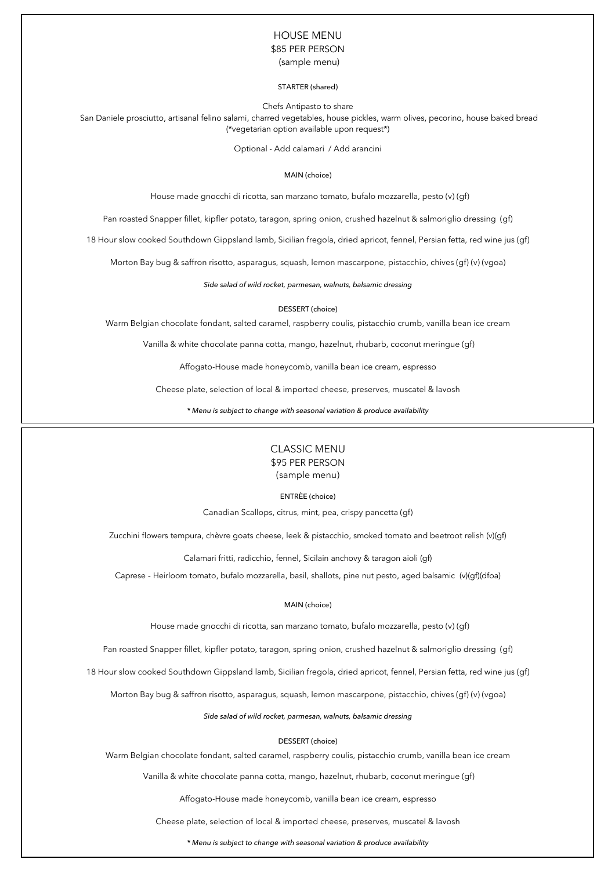# HOUSE MENU \$85 PER PERSON

(sample menu)

### STARTER (shared)

Chefs Antipasto to share

 San Daniele prosciutto, artisanal felino salami, charred vegetables, house pickles, warm olives, pecorino, house baked bread (\*vegetarian option available upon request\*)

Optional - Add calamari / Add arancini

### MAIN (choice)

House made gnocchi di ricotta, san marzano tomato, bufalo mozzarella, pesto (v) (gf)

Pan roasted Snapper fillet, kipfler potato, taragon, spring onion, crushed hazelnut & salmoriglio dressing (gf)

18 Hour slow cooked Southdown Gippsland lamb, Sicilian fregola, dried apricot, fennel, Persian fetta, red wine jus (gf)

Morton Bay bug & saffron risotto, asparagus, squash, lemon mascarpone, pistacchio, chives (gf) (v) (vgoa)

*Side salad of wild rocket, parmesan, walnuts, balsamic dressing*

### DESSERT (choice)

Warm Belgian chocolate fondant, salted caramel, raspberry coulis, pistacchio crumb, vanilla bean ice cream

Vanilla & white chocolate panna cotta, mango, hazelnut, rhubarb, coconut meringue (gf)

Affogato-House made honeycomb, vanilla bean ice cream, espresso

Cheese plate, selection of local & imported cheese, preserves, muscatel & lavosh

*\* Menu is subject to change with seasonal variation & produce availability*



ENTRÈE (choice)

Canadian Scallops, citrus, mint, pea, crispy pancetta (gf)

Zucchini flowers tempura, chèvre goats cheese, leek & pistacchio, smoked tomato and beetroot relish (v)(gf)

Calamari fritti, radicchio, fennel, Sicilain anchovy & taragon aioli (gf)

Caprese - Heirloom tomato, bufalo mozzarella, basil, shallots, pine nut pesto, aged balsamic (v)(gf)(dfoa)

### MAIN (choice)

House made gnocchi di ricotta, san marzano tomato, bufalo mozzarella, pesto (v) (gf)

Pan roasted Snapper fillet, kipfler potato, taragon, spring onion, crushed hazelnut & salmoriglio dressing (gf)

18 Hour slow cooked Southdown Gippsland lamb, Sicilian fregola, dried apricot, fennel, Persian fetta, red wine jus (gf)

Morton Bay bug & saffron risotto, asparagus, squash, lemon mascarpone, pistacchio, chives (gf) (v) (vgoa)

*Side salad of wild rocket, parmesan, walnuts, balsamic dressing*

DESSERT (choice)

Warm Belgian chocolate fondant, salted caramel, raspberry coulis, pistacchio crumb, vanilla bean ice cream

Vanilla & white chocolate panna cotta, mango, hazelnut, rhubarb, coconut meringue (gf)

Affogato-House made honeycomb, vanilla bean ice cream, espresso

Cheese plate, selection of local & imported cheese, preserves, muscatel & lavosh

*\* Menu is subject to change with seasonal variation & produce availability*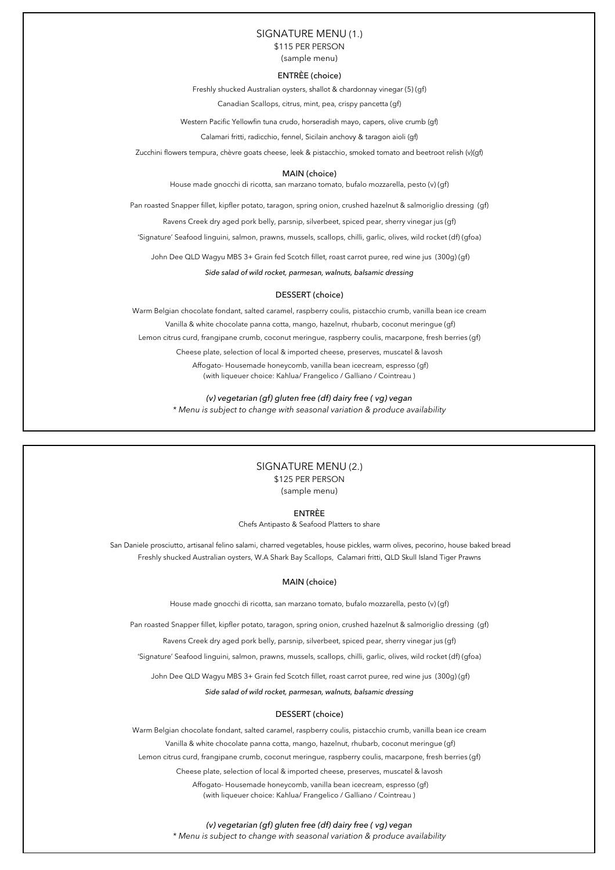### SIGNATURE MENU (1.)

\$115 PER PERSON

(sample menu)

### ENTRÈE (choice)

Freshly shucked Australian oysters, shallot & chardonnay vinegar (5) (gf)

Canadian Scallops, citrus, mint, pea, crispy pancetta (gf)

Western Pacific Yellowfin tuna crudo, horseradish mayo, capers, olive crumb (gf)

Calamari fritti, radicchio, fennel, Sicilain anchovy & taragon aioli (gf)

Zucchini flowers tempura, chèvre goats cheese, leek & pistacchio, smoked tomato and beetroot relish (v)(gf)

### MAIN (choice)

House made gnocchi di ricotta, san marzano tomato, bufalo mozzarella, pesto (v) (gf)

Pan roasted Snapper fillet, kipfler potato, taragon, spring onion, crushed hazelnut & salmoriglio dressing (gf)

Ravens Creek dry aged pork belly, parsnip, silverbeet, spiced pear, sherry vinegar jus (gf)

'Signature' Seafood linguini, salmon, prawns, mussels, scallops, chilli, garlic, olives, wild rocket (df) (gfoa)

John Dee QLD Wagyu MBS 3+ Grain fed Scotch fillet, roast carrot puree, red wine jus (300g) (gf)

*Side salad of wild rocket, parmesan, walnuts, balsamic dressing* 

### DESSERT (choice)

Warm Belgian chocolate fondant, salted caramel, raspberry coulis, pistacchio crumb, vanilla bean ice cream Vanilla & white chocolate panna cotta, mango, hazelnut, rhubarb, coconut meringue (gf) Lemon citrus curd, frangipane crumb, coconut meringue, raspberry coulis, macarpone, fresh berries (gf) Cheese plate, selection of local & imported cheese, preserves, muscatel & lavosh Affogato- Housemade honeycomb, vanilla bean icecream, espresso (gf) (with liqueuer choice: Kahlua/ Frangelico / Galliano / Cointreau )

> *(v) vegetarian (gf) gluten free (df) dairy free ( vg) vegan \* Menu is subject to change with seasonal variation & produce availability*

### SIGNATURE MENU (2.) \$125 PER PERSON (sample menu)

ENTRÈE

Chefs Antipasto & Seafood Platters to share

 San Daniele prosciutto, artisanal felino salami, charred vegetables, house pickles, warm olives, pecorino, house baked bread Freshly shucked Australian oysters, W.A Shark Bay Scallops, Calamari fritti, QLD Skull Island Tiger Prawns

### MAIN (choice)

House made gnocchi di ricotta, san marzano tomato, bufalo mozzarella, pesto (v) (gf)

Pan roasted Snapper fillet, kipfler potato, taragon, spring onion, crushed hazelnut & salmoriglio dressing (gf)

Ravens Creek dry aged pork belly, parsnip, silverbeet, spiced pear, sherry vinegar jus (gf)

'Signature' Seafood linguini, salmon, prawns, mussels, scallops, chilli, garlic, olives, wild rocket (df) (gfoa)

John Dee QLD Wagyu MBS 3+ Grain fed Scotch fillet, roast carrot puree, red wine jus (300g) (gf)

*Side salad of wild rocket, parmesan, walnuts, balsamic dressing* 

### DESSERT (choice)

Warm Belgian chocolate fondant, salted caramel, raspberry coulis, pistacchio crumb, vanilla bean ice cream

Vanilla & white chocolate panna cotta, mango, hazelnut, rhubarb, coconut meringue (gf)

Lemon citrus curd, frangipane crumb, coconut meringue, raspberry coulis, macarpone, fresh berries (gf)

Cheese plate, selection of local & imported cheese, preserves, muscatel & lavosh

 Affogato- Housemade honeycomb, vanilla bean icecream, espresso (gf) (with liqueuer choice: Kahlua/ Frangelico / Galliano / Cointreau )

### *(v) vegetarian (gf) gluten free (df) dairy free ( vg) vegan*

*\* Menu is subject to change with seasonal variation & produce availability*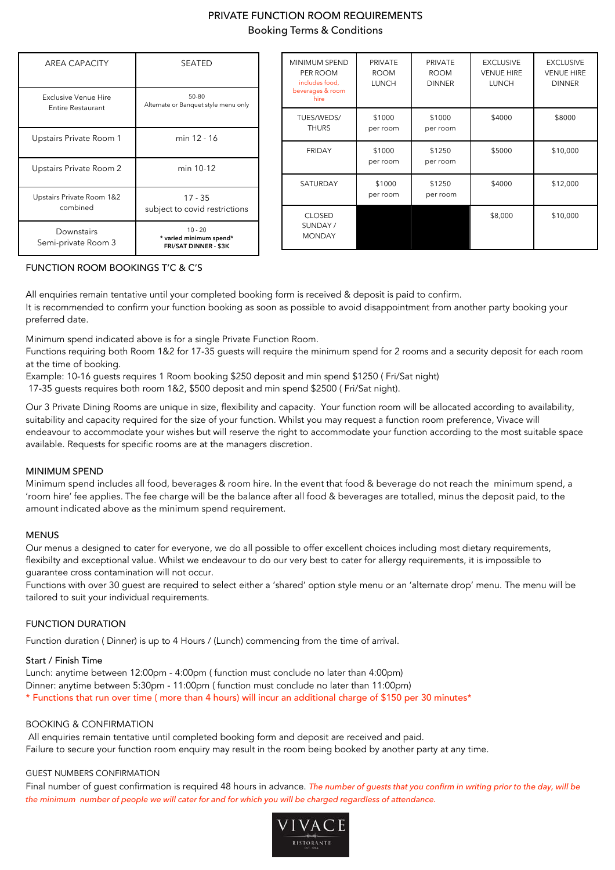# PRIVATE FUNCTION ROOM REQUIREMENTS Booking Terms & Conditions

| AREA CAPACITY                                    | SEATED                                                               |
|--------------------------------------------------|----------------------------------------------------------------------|
| Exclusive Venue Hire<br><b>Entire Restaurant</b> | 50-80<br>Alternate or Banquet style menu only                        |
| Upstairs Private Room 1                          | min 12 - 16                                                          |
| Upstairs Private Room 2                          | min 10-12                                                            |
| Upstairs Private Room 1&2<br>combined            | 17 - 35<br>subject to covid restrictions                             |
| Downstairs<br>Semi-private Room 3                | $10 - 20$<br>* varied minimum spend*<br><b>FRI/SAT DINNER - \$3K</b> |

| <b>MINIMUM SPEND</b><br>PER ROOM<br>includes food,<br>beverages & room<br>hire | PRIVATE<br><b>ROOM</b><br><b>LUNCH</b> | PRIVATE<br><b>ROOM</b><br><b>DINNER</b> | <b>EXCLUSIVE</b><br><b>VENUE HIRE</b><br><b>LUNCH</b> | <b>EXCLUSIVE</b><br><b>VENUE HIRE</b><br><b>DINNER</b> |
|--------------------------------------------------------------------------------|----------------------------------------|-----------------------------------------|-------------------------------------------------------|--------------------------------------------------------|
| TUES/WEDS/<br><b>THURS</b>                                                     | \$1000<br>per room                     | \$1000<br>per room                      | \$4000                                                | \$8000                                                 |
| <b>FRIDAY</b>                                                                  | \$1000<br>per room                     | \$1250<br>per room                      | \$5000                                                | \$10,000                                               |
| SATURDAY                                                                       | \$1000<br>per room                     | \$1250<br>per room                      | \$4000                                                | \$12,000                                               |
| <b>CLOSED</b><br>SUNDAY/<br><b>MONDAY</b>                                      |                                        |                                         | \$8,000                                               | \$10,000                                               |

# FUNCTION ROOM BOOKINGS T'C & C'S

All enquiries remain tentative until your completed booking form is received & deposit is paid to confirm. It is recommended to confirm your function booking as soon as possible to avoid disappointment from another party booking your preferred date.

Minimum spend indicated above is for a single Private Function Room.

Functions requiring both Room 1&2 for 17-35 guests will require the minimum spend for 2 rooms and a security deposit for each room at the time of booking.

Example: 10-16 guests requires 1 Room booking \$250 deposit and min spend \$1250 ( Fri/Sat night)

17-35 guests requires both room 1&2, \$500 deposit and min spend \$2500 ( Fri/Sat night).

Our 3 Private Dining Rooms are unique in size, flexibility and capacity. Your function room will be allocated according to availability, suitability and capacity required for the size of your function. Whilst you may request a function room preference, Vivace will endeavour to accommodate your wishes but will reserve the right to accommodate your function according to the most suitable space available. Requests for specific rooms are at the managers discretion.

## MINIMUM SPEND

Minimum spend includes all food, beverages & room hire. In the event that food & beverage do not reach the minimum spend, a 'room hire' fee applies. The fee charge will be the balance after all food & beverages are totalled, minus the deposit paid, to the amount indicated above as the minimum spend requirement.

## **MENUS**

Our menus a designed to cater for everyone, we do all possible to offer excellent choices including most dietary requirements, flexibilty and exceptional value. Whilst we endeavour to do our very best to cater for allergy requirements, it is impossible to guarantee cross contamination will not occur.

Functions with over 30 guest are required to select either a 'shared' option style menu or an 'alternate drop' menu. The menu will be tailored to suit your individual requirements.

# FUNCTION DURATION

Function duration ( Dinner) is up to 4 Hours / (Lunch) commencing from the time of arrival.

## Start / Finish Time

Lunch: anytime between 12:00pm - 4:00pm ( function must conclude no later than 4:00pm) Dinner: anytime between 5:30pm - 11:00pm ( function must conclude no later than 11:00pm) \* Functions that run over time ( more than 4 hours) will incur an additional charge of \$150 per 30 minutes\*

## BOOKING & CONFIRMATION

 All enquiries remain tentative until completed booking form and deposit are received and paid. Failure to secure your function room enquiry may result in the room being booked by another party at any time.

## GUEST NUMBERS CONFIRMATION

Final number of guest confirmation is required 48 hours in advance. *The number of guests that you confirm in writing prior to the day, will be the minimum number of people we will cater for and for which you will be charged regardless of attendance.*